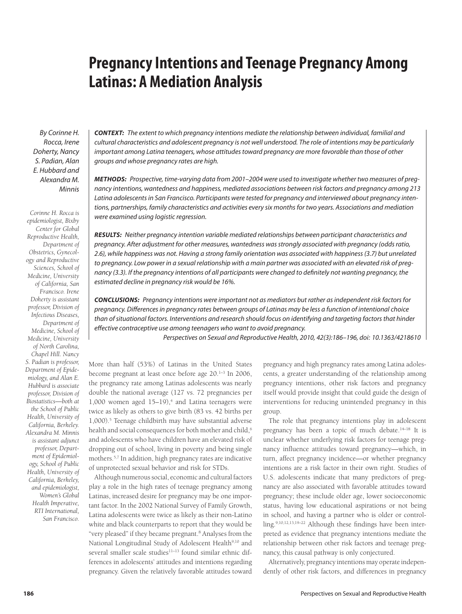# **Pregnancy Intentions and Teenage Pregnancy Among Latinas: A Mediation Analysis**

By Corinne H. Rocca, Irene Doherty, Nancy S. Padian, Alan E. Hubbard and Alexandra M. Minnis

*Corinne H. Rocca is epidemiologist, Bixby Center for Global Reproductive Health, Department of Obstetrics, Gynecology and Reproductive Sciences, School of Medicine, University of California, San Francisco. Irene Doherty is assistant professor, Division of Infectious Diseases, Department of Medicine, School of Medicine, University of North Carolina, Chapel Hill. Nancy S. Padian is professor, Department of Epidemiology, and Alan E. Hubbard is associate professor, Division of Biostatistics—both at the School of Public Health, University of California, Berkeley. Alexandra M. Minnis is assistant adjunct professor, Department of Epidemiology, School of Public Health, University of California, Berkeley, and epidemiologist, Women's Global Health Imperative, RTI International, San Francisco.*

*CONTEXT:* The extent to which pregnancy intentions mediate the relationship between individual, familial and cultural characteristics and adolescent pregnancy is not well understood. The role of intentions may be particularly important among Latina teenagers, whose attitudes toward pregnancy are more favorable than those of other groups and whose pregnancy rates are high.

*METHODS:* Prospective, time-varying data from 2001–2004 were used to investigate whether two measures of pregnancy intentions, wantedness and happiness, mediated associations between risk factors and pregnancy among 213 Latina adolescents in San Francisco. Participants were tested for pregnancy and interviewed about pregnancy intentions, partnerships, family characteristics and activities every six months for two years. Associations and mediation were examined using logistic regression.

*RESULTS:* Neither pregnancy intention variable mediated relationships between participant characteristics and pregnancy. After adjustment for other measures, wantedness was strongly associated with pregnancy (odds ratio, 2.6), while happiness was not. Having a strong family orientation was associated with happiness (3.7) but unrelated to pregnancy. Low power in a sexual relationship with a main partner was associated with an elevated risk of pregnancy (3.3). If the pregnancy intentions of all participants were changed to definitely not wanting pregnancy, the estimated decline in pregnancy risk would be 16%.

*CONCLUSIONS:* Pregnancy intentions were important not as mediators but rather as independent risk factors for pregnancy. Differences in pregnancy rates between groups of Latinas may be less a function of intentional choice than of situational factors. Interventions and research should focus on identifying and targeting factors that hinder effective contraceptive use among teenagers who want to avoid pregnancy.

Perspectives on Sexual and Reproductive Health, 2010, 42(3):186–196, doi: 10.1363/4218610

More than half (53%) of Latinas in the United States become pregnant at least once before age 20.<sup>1-3</sup> In 2006, the pregnancy rate among Latinas adolescents was nearly double the national average (127 vs. 72 pregnancies per  $1,000$  women aged  $15-19$ ,<sup>4</sup> and Latina teenagers were twice as likely as others to give birth (83 vs. 42 births per 1,000).5 Teenage childbirth may have substantial adverse health and social consequences for both mother and child,<sup>6</sup> and adolescents who have children have an elevated risk of dropping out of school, living in poverty and being single mothers.5,7 In addition, high pregnancy rates are indicative of unprotected sexual behavior and risk for STDs.

Although numerous social, economic and cultural factors play a role in the high rates of teenage pregnancy among Latinas, increased desire for pregnancy may be one important factor. In the 2002 National Survey of Family Growth, Latina adolescents were twice as likely as their non-Latino white and black counterparts to report that they would be "very pleased" if they became pregnant.<sup>8</sup> Analyses from the National Longitudinal Study of Adolescent Health<sup>9,10</sup> and several smaller scale studies $11-13$  found similar ethnic differences in adolescents' attitudes and intentions regarding pregnancy. Given the relatively favorable attitudes toward

pregnancy and high pregnancy rates among Latina adolescents, a greater understanding of the relationship among pregnancy intentions, other risk factors and pregnancy itself would provide insight that could guide the design of interventions for reducing unintended pregnancy in this group.

The role that pregnancy intentions play in adolescent pregnancy has been a topic of much debate.<sup>14-18</sup> It is unclear whether underlying risk factors for teenage pregnancy influence attitudes toward pregnancy—which, in turn, affect pregnancy incidence—or whether pregnancy intentions are a risk factor in their own right. Studies of U.S. adolescents indicate that many predictors of pregnancy are also associated with favorable attitudes toward pregnancy; these include older age, lower socioeconomic status, having low educational aspirations or not being in school, and having a partner who is older or controlling.<sup>9,10,12,13,19-22</sup> Although these findings have been interpreted as evidence that pregnancy intentions mediate the relationship between other risk factors and teenage pregnancy, this causal pathway is only conjectured.

Alternatively, pregnancy intentions may operate independently of other risk factors, and differences in pregnancy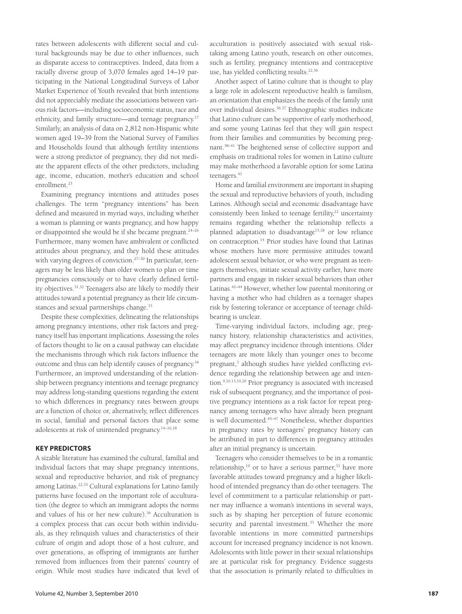rates between adolescents with different social and cultural backgrounds may be due to other influences, such as disparate access to contraceptives. Indeed, data from a racially diverse group of 3,070 females aged 14–19 participating in the National Longitudinal Surveys of Labor Market Experience of Youth revealed that birth intentions did not appreciably mediate the associations between various risk factors—including socioeconomic status, race and ethnicity, and family structure—and teenage pregnancy.17 Similarly, an analysis of data on 2,812 non-Hispanic white women aged 19–39 from the National Survey of Families and Households found that although fertility intentions were a strong predictor of pregnancy, they did not mediate the apparent effects of the other predictors, including age, income, education, mother's education and school enrollment.23

Examining pregnancy intentions and attitudes poses challenges. The term "pregnancy intentions" has been defined and measured in myriad ways, including whether a woman is planning or wants pregnancy, and how happy or disappointed she would be if she became pregnant.24–26 Furthermore, many women have ambivalent or conflicted attitudes about pregnancy, and they hold these attitudes with varying degrees of conviction.<sup>27-30</sup> In particular, teenagers may be less likely than older women to plan or time pregnancies consciously or to have clearly defined fertility objectives.31,32 Teenagers also are likely to modify their attitudes toward a potential pregnancy as their life circumstances and sexual partnerships change.<sup>33</sup>

Despite these complexities, delineating the relationships among pregnancy intentions, other risk factors and pregnancy itself has important implications. Assessing the roles of factors thought to lie on a causal pathway can elucidate the mechanisms through which risk factors influence the outcome and thus can help identify causes of pregnancy.34 Furthermore, an improved understanding of the relationship between pregnancy intentions and teenage pregnancy may address long-standing questions regarding the extent to which differences in pregnancy rates between groups are a function of choice or, alternatively, reflect differences in social, familial and personal factors that place some adolescents at risk of unintended pregnancy.14–16,18

## **KEY PREDICTORS**

A sizable literature has examined the cultural, familial and individual factors that may shape pregnancy intentions, sexual and reproductive behavior, and risk of pregnancy among Latinas.<sup>22,35</sup> Cultural explanations for Latino family patterns have focused on the important role of acculturation (the degree to which an immigrant adopts the norms and values of his or her new culture).36 Acculturation is a complex process that can occur both within individuals, as they relinquish values and characteristics of their culture of origin and adopt those of a host culture, and over generations, as offspring of immigrants are further removed from influences from their parents' country of origin. While most studies have indicated that level of acculturation is positively associated with sexual risktaking among Latino youth, research on other outcomes, such as fertility, pregnancy intentions and contraceptive use, has yielded conflicting results.<sup>22,36</sup>

Another aspect of Latino culture that is thought to play a large role in adolescent reproductive health is familism, an orientation that emphasizes the needs of the family unit over individual desires.36,37 Ethnographic studies indicate that Latino culture can be supportive of early motherhood, and some young Latinas feel that they will gain respect from their families and communities by becoming pregnant.38–41 The heightened sense of collective support and emphasis on traditional roles for women in Latino culture may make motherhood a favorable option for some Latina teenagers.<sup>41</sup>

Home and familial environment are important in shaping the sexual and reproductive behaviors of youth, including Latinos. Although social and economic disadvantage have consistently been linked to teenage fertility,<sup>22</sup> uncertainty remains regarding whether the relationship reflects a planned adaptation to disadvantage<sup>15,18</sup> or low reliance on contraception.14 Prior studies have found that Latinas whose mothers have more permissive attitudes toward adolescent sexual behavior, or who were pregnant as teenagers themselves, initiate sexual activity earlier, have more partners and engage in riskier sexual behaviors than other Latinas.<sup>42–44</sup> However, whether low parental monitoring or having a mother who had children as a teenager shapes risk by fostering tolerance or acceptance of teenage childbearing is unclear.

Time-varying individual factors, including age, pregnancy history, relationship characteristics and activities, may affect pregnancy incidence through intentions. Older teenagers are more likely than younger ones to become pregnant,<sup>3</sup> although studies have yielded conflicting evidence regarding the relationship between age and intention.9,10,13,19,20 Prior pregnancy is associated with increased risk of subsequent pregnancy, and the importance of positive pregnancy intentions as a risk factor for repeat pregnancy among teenagers who have already been pregnant is well documented.<sup>45-47</sup> Nonetheless, whether disparities in pregnancy rates by teenagers' pregnancy history can be attributed in part to differences in pregnancy attitudes after an initial pregnancy is uncertain.

Teenagers who consider themselves to be in a romantic relationship,<sup>10</sup> or to have a serious partner,<sup>33</sup> have more favorable attitudes toward pregnancy and a higher likelihood of intended pregnancy than do other teenagers. The level of commitment to a particular relationship or partner may influence a woman's intentions in several ways, such as by shaping her perception of future economic security and parental investment.<sup>33</sup> Whether the more favorable intentions in more committed partnerships account for increased pregnancy incidence is not known. Adolescents with little power in their sexual relationships are at particular risk for pregnancy. Evidence suggests that the association is primarily related to difficulties in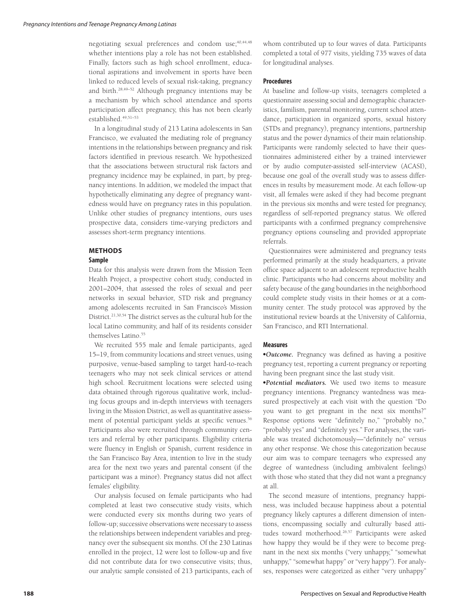negotiating sexual preferences and condom use;<sup>40,44,48</sup> whether intentions play a role has not been established. Finally, factors such as high school enrollment, educational aspirations and involvement in sports have been linked to reduced levels of sexual risk-taking, pregnancy and birth.28,49–52 Although pregnancy intentions may be a mechanism by which school attendance and sports participation affect pregnancy, this has not been clearly established.<sup>49,51-53</sup>

In a longitudinal study of 213 Latina adolescents in San Francisco, we evaluated the mediating role of pregnancy intentions in the relationships between pregnancy and risk factors identified in previous research. We hypothesized that the associations between structural risk factors and pregnancy incidence may be explained, in part, by pregnancy intentions. In addition, we modeled the impact that hypothetically eliminating any degree of pregnancy wantedness would have on pregnancy rates in this population. Unlike other studies of pregnancy intentions, ours uses prospective data, considers time-varying predictors and assesses short-term pregnancy intentions.

# **METHODS**

## **Sample**

Data for this analysis were drawn from the Mission Teen Health Project, a prospective cohort study, conducted in 2001–2004, that assessed the roles of sexual and peer networks in sexual behavior, STD risk and pregnancy among adolescents recruited in San Francisco's Mission District.21,30,54 The district serves as the cultural hub for the local Latino community, and half of its residents consider themselves Latino.<sup>55</sup>

We recruited 555 male and female participants, aged 15–19, from community locations and street venues, using purposive, venue-based sampling to target hard-to-reach teenagers who may not seek clinical services or attend high school. Recruitment locations were selected using data obtained through rigorous qualitative work, including focus groups and in-depth interviews with teenagers living in the Mission District, as well as quantitative assessment of potential participant yields at specific venues.<sup>56</sup> Participants also were recruited through community centers and referral by other participants. Eligibility criteria were fluency in English or Spanish, current residence in the San Francisco Bay Area, intention to live in the study area for the next two years and parental consent (if the participant was a minor). Pregnancy status did not affect females' eligibility.

Our analysis focused on female participants who had completed at least two consecutive study visits, which were conducted every six months during two years of follow-up; successive observations were necessary to assess the relationships between independent variables and pregnancy over the subsequent six months. Of the 230 Latinas enrolled in the project, 12 were lost to follow-up and five did not contribute data for two consecutive visits; thus, our analytic sample consisted of 213 participants, each of

whom contributed up to four waves of data. Participants completed a total of 977 visits, yielding 735 waves of data for longitudinal analyses.

#### **Procedures**

At baseline and follow-up visits, teenagers completed a questionnaire assessing social and demographic characteristics, familism, parental monitoring, current school attendance, participation in organized sports, sexual history (STDs and pregnancy), pregnancy intentions, partnership status and the power dynamics of their main relationship. Participants were randomly selected to have their questionnaires administered either by a trained interviewer or by audio computer-assisted self-interview (ACASI), because one goal of the overall study was to assess differences in results by measurement mode. At each follow-up visit, all females were asked if they had become pregnant in the previous six months and were tested for pregnancy, regardless of self-reported pregnancy status. We offered participants with a confirmed pregnancy comprehensive pregnancy options counseling and provided appropriate referrals.

Questionnaires were administered and pregnancy tests performed primarily at the study headquarters, a private office space adjacent to an adolescent reproductive health clinic. Participants who had concerns about mobility and safety because of the gang boundaries in the neighborhood could complete study visits in their homes or at a community center. The study protocol was approved by the institutional review boards at the University of California, San Francisco, and RTI International.

# **Measures**

• Outcome. Pregnancy was defined as having a positive pregnancy test, reporting a current pregnancy or reporting having been pregnant since the last study visit.

-*Potential mediators.* We used two items to measure pregnancy intentions. Pregnancy wantedness was measured prospectively at each visit with the question "Do you want to get pregnant in the next six months?" Response options were "definitely no," "probably no," "probably yes" and "definitely yes." For analyses, the variable was treated dichotomously-"definitely no" versus any other response. We chose this categorization because our aim was to compare teenagers who expressed any degree of wantedness (including ambivalent feelings) with those who stated that they did not want a pregnancy at all.

The second measure of intentions, pregnancy happiness, was included because happiness about a potential pregnancy likely captures a different dimension of intentions, encompassing socially and culturally based attitudes toward motherhood.<sup>26,57</sup> Participants were asked how happy they would be if they were to become pregnant in the next six months ("very unhappy," "somewhat unhappy," "somewhat happy" or "very happy"). For analyses, responses were categorized as either "very unhappy"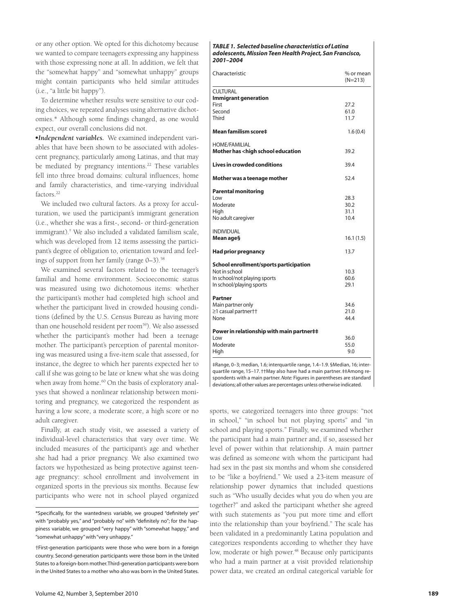or any other option. We opted for this dichotomy because we wanted to compare teenagers expressing any happiness with those expressing none at all. In addition, we felt that the "somewhat happy" and "somewhat unhappy" groups might contain participants who held similar attitudes (i.e., "a little bit happy").

To determine whether results were sensitive to our coding choices, we repeated analyses using alternative dichotomies.\* Although some findings changed, as one would expect, our overall conclusions did not.

-*Independent variables.* We examined independent variables that have been shown to be associated with adolescent pregnancy, particularly among Latinas, and that may be mediated by pregnancy intentions.<sup>22</sup> These variables fell into three broad domains: cultural influences, home and family characteristics, and time-varying individual factors.<sup>22</sup>

We included two cultural factors. As a proxy for acculturation, we used the participant's immigrant generation (i.e., whether she was a first-, second- or third-generation immigrant).† We also included a validated familism scale, which was developed from 12 items assessing the participant's degree of obligation to, orientation toward and feelings of support from her family (range  $0-3$ ).<sup>58</sup>

We examined several factors related to the teenager's familial and home environment. Socioeconomic status was measured using two dichotomous items: whether the participant's mother had completed high school and whether the participant lived in crowded housing conditions (defined by the U.S. Census Bureau as having more than one household resident per room<sup>59</sup>). We also assessed whether the participant's mother had been a teenage mother. The participant's perception of parental monitoring was measured using a five-item scale that assessed, for instance, the degree to which her parents expected her to call if she was going to be late or knew what she was doing when away from home.<sup>60</sup> On the basis of exploratory analyses that showed a nonlinear relationship between monitoring and pregnancy, we categorized the respondent as having a low score, a moderate score, a high score or no adult caregiver.

Finally, at each study visit, we assessed a variety of individual-level characteristics that vary over time. We included measures of the participant's age and whether she had had a prior pregnancy. We also examined two factors we hypothesized as being protective against teenage pregnancy: school enrollment and involvement in organized sports in the previous six months. Because few participants who were not in school played organized

| Characteristic                                                                              | % or mean<br>$(N=213)$ |
|---------------------------------------------------------------------------------------------|------------------------|
| CULTURAL<br><b>Immigrant generation</b>                                                     |                        |
| First                                                                                       | 27.2                   |
| Second                                                                                      | 61.0                   |
| Third                                                                                       | 11.7                   |
| Mean familism score‡                                                                        | 1.6(0.4)               |
| <b>HOME/FAMILIAL</b><br>Mother has <high education<="" school="" td=""><td>39.2</td></high> | 39.2                   |
| <b>Lives in crowded conditions</b>                                                          | 39.4                   |
| Mother was a teenage mother                                                                 | 52.4                   |
| <b>Parental monitoring</b>                                                                  |                        |
| l ow                                                                                        | 28.3                   |
| Moderate                                                                                    | 30.2                   |
| High                                                                                        | 31.1                   |
| No adult caregiver                                                                          | 10.4                   |
| <b>INDIVIDUAL</b>                                                                           |                        |
| Mean age§                                                                                   | 16.1 (1.5)             |
| <b>Had prior pregnancy</b>                                                                  | 13.7                   |
| School enrollment/sports participation                                                      |                        |
| Not in school                                                                               | 10.3                   |
| In school/not playing sports                                                                | 60.6                   |
| In school/playing sports                                                                    | 29.1                   |
| Partner                                                                                     |                        |
| Main partner only                                                                           | 34.6                   |
| ≥1 casual partner††                                                                         | 21.0                   |
| None                                                                                        | 44.4                   |
| Power in relationship with main partner##                                                   |                        |
| l ow                                                                                        | 36.0                   |
| Moderate                                                                                    | 55.0                   |
| High                                                                                        | 9.0                    |

‡Range, 0–3; median, 1.6; interquartile range, 1.4–1.9. §Median, 16; interquartile range, 15–17. ††May also have had a main partner. ‡‡Among respondents with a main partner. *Note:* Figures in parentheses are standard deviations; all other values are percentages unless otherwise indicated.

sports, we categorized teenagers into three groups: "not in school," "in school but not playing sports" and "in school and playing sports." Finally, we examined whether the participant had a main partner and, if so, assessed her level of power within that relationship. A main partner was defined as someone with whom the participant had had sex in the past six months and whom she considered to be "like a boyfriend." We used a 23-item measure of relationship power dynamics that included questions such as "Who usually decides what you do when you are together?" and asked the participant whether she agreed with such statements as "you put more time and effort into the relationship than your boyfriend." The scale has been validated in a predominantly Latina population and categorizes respondents according to whether they have low, moderate or high power.<sup>48</sup> Because only participants who had a main partner at a visit provided relationship power data, we created an ordinal categorical variable for

<sup>\*</sup>Specifically, for the wantedness variable, we grouped "definitely yes" with "probably yes," and "probably no" with "definitely no"; for the happiness variable, we grouped "very happy" with "somewhat happy," and "somewhat unhappy" with "very unhappy."

<sup>†</sup>First-generation participants were those who were born in a foreign country. Second-generation participants were those born in the United States to a foreign-born mother. Third-generation participants were born in the United States to a mother who also was born in the United States.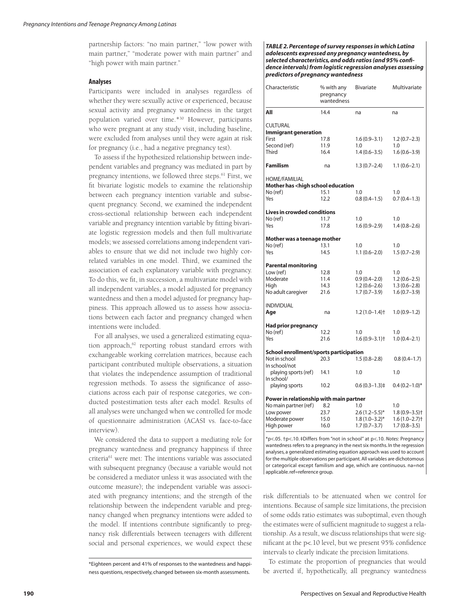partnership factors: "no main partner," "low power with main partner," "moderate power with main partner" and "high power with main partner."

## **Analyses**

Participants were included in analyses regardless of whether they were sexually active or experienced, because sexual activity and pregnancy wantedness in the target population varied over time.\*30 However, participants who were pregnant at any study visit, including baseline, were excluded from analyses until they were again at risk for pregnancy (i.e., had a negative pregnancy test).

To assess if the hypothesized relationship between independent variables and pregnancy was mediated in part by pregnancy intentions, we followed three steps.<sup>61</sup> First, we fit bivariate logistic models to examine the relationship between each pregnancy intention variable and subsequent pregnancy. Second, we examined the independent cross-sectional relationship between each independent variable and pregnancy intention variable by fitting bivariate logistic regression models and then full multivariate models; we assessed correlations among independent variables to ensure that we did not include two highly correlated variables in one model. Third, we examined the association of each explanatory variable with pregnancy. To do this, we fit, in succession, a multivariate model with all independent variables, a model adjusted for pregnancy wantedness and then a model adjusted for pregnancy happiness. This approach allowed us to assess how associations between each factor and pregnancy changed when intentions were included.

For all analyses, we used a generalized estimating equation approach,<sup>62</sup> reporting robust standard errors with exchangeable working correlation matrices, because each participant contributed multiple observations, a situation that violates the independence assumption of traditional regression methods. To assess the significance of associations across each pair of response categories, we conducted postestimation tests after each model. Results of all analyses were unchanged when we controlled for mode of questionnaire administration (ACASI vs. face-to-face interview).

We considered the data to support a mediating role for pregnancy wantedness and pregnancy happiness if three criteria61 were met: The intentions variable was associated with subsequent pregnancy (because a variable would not be considered a mediator unless it was associated with the outcome measure); the independent variable was associated with pregnancy intentions; and the strength of the relationship between the independent variable and pregnancy changed when pregnancy intentions were added to the model. If intentions contribute significantly to pregnancy risk differentials between teenagers with different social and personal experiences, we would expect these

*TABLE 2. Percentage of survey responses in which Latina adolescents expressed any pregnancy wantedness, by selected characteristics, and odds ratios (and 95% confi dence intervals) from logistic regression analyses assessing predictors of pregnancy wantedness*

| Characteristic                                                                    | % with any<br>pregnancy<br>wantedness | <b>Bivariate</b>              | Multivariate                  |  |  |  |  |
|-----------------------------------------------------------------------------------|---------------------------------------|-------------------------------|-------------------------------|--|--|--|--|
| All                                                                               | 14.4                                  | na                            | na                            |  |  |  |  |
| CULTURAL                                                                          |                                       |                               |                               |  |  |  |  |
| Immigrant generation                                                              |                                       |                               |                               |  |  |  |  |
| First                                                                             | 17.8                                  | $1.6(0.9 - 3.1)$              | $1.2(0.7-2.3)$                |  |  |  |  |
| Second (ref)                                                                      | 11.9                                  | 1.0                           | 1.0                           |  |  |  |  |
| Third                                                                             | 16.4                                  | $1.4(0.6 - 3.5)$              | $1.6(0.6 - 3.9)$              |  |  |  |  |
| <b>Familism</b>                                                                   | na                                    | $1.3(0.7-2.4)$                | $1.1(0.6-2.1)$                |  |  |  |  |
| HOME/FAMILIAL                                                                     |                                       |                               |                               |  |  |  |  |
| Mother has <high education<="" school="" td=""><td></td><td></td><td></td></high> |                                       |                               |                               |  |  |  |  |
| No (ref)                                                                          | 15.1                                  | 1.0                           | 1.0                           |  |  |  |  |
| Yes                                                                               | 12.2                                  | $0.8(0.4-1.5)$                | $0.7(0.4-1.3)$                |  |  |  |  |
| <b>Lives in crowded conditions</b>                                                |                                       |                               |                               |  |  |  |  |
| No (ref)                                                                          | 11.7                                  | 1.0                           | 1.0                           |  |  |  |  |
| Yes                                                                               | 17.8                                  | $1.6(0.9-2.9)$                | $1.4(0.8-2.6)$                |  |  |  |  |
| Mother was a teenage mother                                                       |                                       |                               |                               |  |  |  |  |
| No (ref)                                                                          | 13.1                                  | 1.0                           | 1.0                           |  |  |  |  |
| Yes                                                                               | 14.5                                  | $1.1(0.6 - 2.0)$              | $1.5(0.7-2.9)$                |  |  |  |  |
| <b>Parental monitoring</b>                                                        |                                       |                               |                               |  |  |  |  |
| Low (ref)                                                                         | 12.8                                  | 1.0                           | 1.0                           |  |  |  |  |
| Moderate                                                                          | 11.4                                  | $0.9(0.4 - 2.0)$              | $1.2(0.6-2.5)$                |  |  |  |  |
| High                                                                              | 14.3                                  | $1.2(0.6-2.6)$                | $1.3(0.6 - 2.8)$              |  |  |  |  |
| No adult caregiver                                                                | 21.6                                  | $1.7(0.7-3.9)$                | $1.6(0.7-3.9)$                |  |  |  |  |
| <b>INDIVIDUAL</b>                                                                 |                                       |                               |                               |  |  |  |  |
| Age                                                                               | na                                    | $1.2(1.0-1.4)$ <sup>+</sup>   | $1.0(0.9-1.2)$                |  |  |  |  |
| <b>Had prior pregnancy</b>                                                        |                                       |                               |                               |  |  |  |  |
| No (ref)                                                                          | 12.2                                  | 1.0                           | 1.0                           |  |  |  |  |
| Yes                                                                               | 21.6                                  | $1.6(0.9 - 3.1)$ <sup>+</sup> | $1.0(0.4 - 2.1)$              |  |  |  |  |
| School enrollment/sports participation                                            |                                       |                               |                               |  |  |  |  |
| Not in school<br>In school/not                                                    | 20.3                                  | $1.5(0.8-2.8)$                | $0.8(0.4-1.7)$                |  |  |  |  |
| playing sports (ref)<br>In school/                                                | 14.1                                  | 1.0                           | 1.0                           |  |  |  |  |
| playing sports                                                                    | 10.2                                  | $0.6(0.3-1.3)$                | $0.4(0.2 - 1.0)$ *            |  |  |  |  |
| Power in relationship with main partner                                           |                                       |                               |                               |  |  |  |  |
| No main partner (ref)                                                             | 8.2                                   | 1.0                           | 1.0                           |  |  |  |  |
| Low power                                                                         | 23.7                                  | $2.6(1.2 - 5.5)^*$            | $1.8(0.9 - 3.5)$ <sup>+</sup> |  |  |  |  |
| Moderate power                                                                    | 15.0                                  | $1.8(1.0-3.2)$ *              | $1.6(1.0 - 2.7)$ <sup>+</sup> |  |  |  |  |
| High power                                                                        | 16.0                                  | $1.7(0.7-3.7)$                | $1.7(0.8 - 3.5)$              |  |  |  |  |

\*p<.05. †p<.10. ‡Differs from "not in school" at p<.10. *Notes:* Pregnancy wantedness refers to a pregnancy in the next six months. In the regression analyses, a generalized estimating equation approach was used to account for the multiple observations per participant. All variables are dichotomous or categorical except familism and age, which are continuous. na=not applicable. ref=reference group.

risk differentials to be attenuated when we control for intentions. Because of sample size limitations, the precision of some odds ratio estimates was suboptimal, even though the estimates were of sufficient magnitude to suggest a relationship. As a result, we discuss relationships that were significant at the p<.10 level, but we present  $95\%$  confidence intervals to clearly indicate the precision limitations.

To estimate the proportion of pregnancies that would be averted if, hypothetically, all pregnancy wantedness

<sup>\*</sup>Eighteen percent and 41% of responses to the wantedness and happiness questions, respectively, changed between six-month assessments.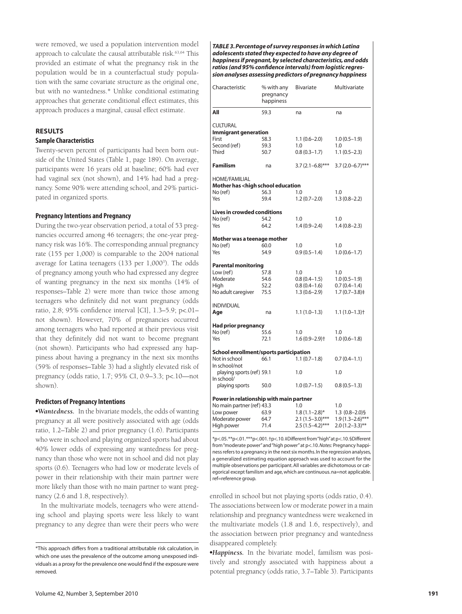were removed, we used a population intervention model approach to calculate the causal attributable risk.<sup>63,64</sup> This provided an estimate of what the pregnancy risk in the population would be in a counterfactual study population with the same covariate structure as the original one, but with no wantedness.\* Unlike conditional estimating approaches that generate conditional effect estimates, this approach produces a marginal, causal effect estimate.

# **RESULTS Sample Characteristics**

Twenty-seven percent of participants had been born outside of the United States (Table 1, page 189). On average, participants were 16 years old at baseline; 60% had ever had vaginal sex (not shown), and 14% had had a pregnancy. Some 90% were attending school, and 29% participated in organized sports.

## **Pregnancy Intentions and Pregnancy**

During the two-year observation period, a total of 53 pregnancies occurred among 46 teenagers; the one-year pregnancy risk was 16%. The corresponding annual pregnancy rate (155 per 1,000) is comparable to the 2004 national average for Latina teenagers (133 per 1,000<sup>3</sup>). The odds of pregnancy among youth who had expressed any degree of wanting pregnancy in the next six months (14% of responses–Table 2) were more than twice those among teenagers who definitely did not want pregnancy (odds ratio, 2.8; 95% confidence interval [CI], 1.3–5.9; p<.01– not shown). However, 70% of pregnancies occurred among teenagers who had reported at their previous visit that they definitely did not want to become pregnant (not shown). Participants who had expressed any happiness about having a pregnancy in the next six months (59% of responses–Table 3) had a slightly elevated risk of pregnancy (odds ratio, 1.7; 95% CI, 0.9–3.3; p<.10—not shown).

#### **Predictors of Pregnancy Intentions**

-*Wantedness.* In the bivariate models, the odds of wanting pregnancy at all were positively associated with age (odds ratio, 1.2–Table 2) and prior pregnancy (1.6). Participants who were in school and playing organized sports had about 40% lower odds of expressing any wantedness for pregnancy than those who were not in school and did not play sports (0.6). Teenagers who had low or moderate levels of power in their relationship with their main partner were more likely than those with no main partner to want pregnancy (2.6 and 1.8, respectively).

In the multivariate models, teenagers who were attending school and playing sports were less likely to want pregnancy to any degree than were their peers who were

*TABLE 3. Percentage of survey responses in which Latina adolescents stated they expected to have any degree of happiness if pregnant, by selected characteristics, and odds*  ratios (and 95% confidence intervals) from logistic regres*sion analyses assessing predictors of pregnancy happiness*

| Characteristic                                                                    | % with any<br>pregnancy<br>happiness | <b>Bivariate</b>              | Multivariate       |
|-----------------------------------------------------------------------------------|--------------------------------------|-------------------------------|--------------------|
| All                                                                               | 59.3                                 | na                            | na                 |
| <b>CULTURAL</b>                                                                   |                                      |                               |                    |
| <b>Immigrant generation</b>                                                       |                                      |                               |                    |
| First                                                                             | 58.3                                 | $1.1(0.6 - 2.0)$              | $1.0(0.5-1.9)$     |
| Second (ref)                                                                      | 59.3                                 | 1.0                           | 1.0                |
| <b>Third</b>                                                                      | 50.7                                 | $0.8(0.3-1.7)$                | $1.1(0.5-2.3)$     |
| <b>Familism</b>                                                                   | na                                   | $3.7(2.1-6.8)$ ***            | $3.7(2.0-6.7)$ *** |
| HOME/FAMILIAL                                                                     |                                      |                               |                    |
| Mother has <high education<="" school="" td=""><td></td><td></td><td></td></high> |                                      |                               |                    |
| No (ref)                                                                          | 56.3                                 | 1.0                           | 1.0                |
| Yes                                                                               | 59.4                                 | $1.2(0.7-2.0)$                | $1.3(0.8 - 2.2)$   |
| <b>Lives in crowded conditions</b>                                                |                                      |                               |                    |
| No (ref)                                                                          | 54.2                                 | 1.0                           | 1.0                |
| Yes                                                                               | 64.2                                 | $1.4(0.9 - 2.4)$              | $1.4(0.8-2.3)$     |
| Mother was a teenage mother                                                       |                                      |                               |                    |
| No (ref)                                                                          | 60.0                                 | 1.0                           | 1.0                |
| Yes                                                                               | 54.9                                 | $0.9(0.5-1.4)$                | $1.0(0.6-1.7)$     |
| <b>Parental monitoring</b>                                                        |                                      |                               |                    |
| Low (ref)                                                                         | 57.8                                 | 1.0                           | 1.0                |
| Moderate                                                                          | 54.6                                 | $0.8(0.4-1.5)$                | $1.0(0.5-1.9)$     |
| High                                                                              | 52.2                                 | $0.8(0.4-1.6)$                | $0.7(0.4-1.4)$     |
| No adult caregiver                                                                | 75.5                                 | $1.3(0.6 - 2.9)$              | $1.7(0.7-3.8)$ ‡   |
| <b>INDIVIDUAL</b>                                                                 |                                      |                               |                    |
| Age                                                                               | na                                   | $1.1(1.0-1.3)$                | $1.1(1.0-1.3)$     |
| <b>Had prior pregnancy</b>                                                        |                                      |                               |                    |
| No (ref)                                                                          | 55.6                                 | 1.0                           | 1.0                |
| Yes                                                                               | 72.1                                 | $1.6(0.9 - 2.9)$ <sup>+</sup> | $1.0(0.6-1.8)$     |
| School enrollment/sports participation                                            |                                      |                               |                    |
| Not in school                                                                     | 66.1                                 | $1.1(0.7-1.8)$                | $0.7(0.4 - 1.1)$   |
| In school/not                                                                     |                                      |                               |                    |
| playing sports (ref) 59.1<br>In school/                                           |                                      | 1.0                           | 1.0                |
| playing sports                                                                    | 50.0                                 | $1.0(0.7-1.5)$                | $0.8(0.5-1.3)$     |
| Power in relationship with main partner                                           |                                      |                               |                    |
| No main partner (ref) 43.3                                                        |                                      | 1.0                           | 1.0                |
| Low power                                                                         | 63.9                                 | $1.8(1.1 - 2.8)$ *            | $1.3(0.8-2.0)$ §   |
| Moderate power                                                                    | 64.7                                 | $2.1(1.5-3.0)$ ***            | $1.9(1.3-2.6)$ *** |
| High power                                                                        | 71.4                                 | $2.5(1.5-4.2)$ ***            | $2.0(1.2-3.3)$ **  |

\*p<.05. \*\*p<.01. \*\*\*p<.001. †p<.10. ‡Different from "high" at p<.10. §Different from "moderate power" and "high power" at p<.10. *Notes:* Pregnancy happiness refers to a pregnancy in the next six months. In the regression analyses, a generalized estimating equation approach was used to account for the multiple observations per participant. All variables are dichotomous or categorical except familism and age, which are continuous. na=not applicable. ref=reference group.

enrolled in school but not playing sports (odds ratio, 0.4). The associations between low or moderate power in a main relationship and pregnancy wantedness were weakened in the multivariate models (1.8 and 1.6, respectively), and the association between prior pregnancy and wantedness disappeared completely.

-*Happiness.* In the bivariate model, familism was positively and strongly associated with happiness about a potential pregnancy (odds ratio, 3.7–Table 3). Participants

<sup>\*</sup>This approach differs from a traditional attributable risk calculation, in which one uses the prevalence of the outcome among unexposed individuals as a proxy for the prevalence one would find if the exposure were removed.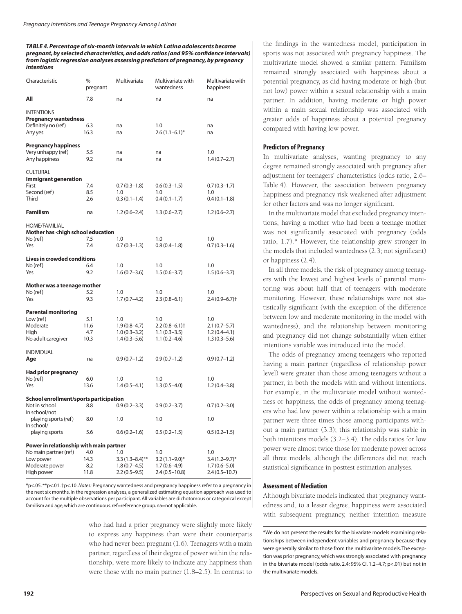*TABLE 4. Percentage of six-month intervals in which Latina adolescents became pregnant, by selected characteristics, and odds ratios (and 95% confi dence intervals) from logistic regression analyses assessing predictors of pregnancy, by pregnancy intentions*

| Characteristic                                                                                                | %<br>pregnant              | Multivariate                                                   | Multivariate with<br>wantedness                             | Multivariate with<br>happiness                                       |
|---------------------------------------------------------------------------------------------------------------|----------------------------|----------------------------------------------------------------|-------------------------------------------------------------|----------------------------------------------------------------------|
| All                                                                                                           | 7.8                        | na                                                             | na                                                          | na                                                                   |
| <b>INTENTIONS</b><br><b>Pregnancy wantedness</b><br>Definitely no (ref)<br>Any yes                            | 6.3<br>16.3                | na<br>na                                                       | 1.0<br>$2.6(1.1-6.1)^{*}$                                   | na<br>na                                                             |
| <b>Pregnancy happiness</b><br>Very unhappy (ref)<br>Any happiness                                             | 5.5<br>9.2                 | na<br>na                                                       | na<br>na                                                    | 1.0<br>$1.4(0.7-2.7)$                                                |
| <b>CULTURAL</b><br><b>Immigrant generation</b><br>First<br>Second (ref)<br>Third                              | 7.4<br>8.5<br>2.6          | $0.7(0.3-1.8)$<br>1.0<br>$0.3(0.1-1.4)$                        | $0.6(0.3-1.5)$<br>1.0<br>$0.4(0.1-1.7)$                     | $0.7(0.3-1.7)$<br>1.0<br>$0.4(0.1-1.8)$                              |
| <b>Familism</b>                                                                                               | na                         | $1.2(0.6-2.4)$                                                 | $1.3(0.6-2.7)$                                              | $1.2(0.6-2.7)$                                                       |
| <b>HOME/FAMILIAL</b><br>Mother has <high education<br="" school="">No (ref)<br/>Yes</high>                    | 7.5<br>7.4                 | 1.0<br>$0.7(0.3-1.3)$                                          | 1.0<br>$0.8(0.4 - 1.8)$                                     | 1.0<br>$0.7(0.3-1.6)$                                                |
| <b>Lives in crowded conditions</b><br>No (ref)<br>Yes                                                         | 6.4<br>9.2                 | 1.0<br>$1.6(0.7 - 3.6)$                                        | 1.0<br>$1.5(0.6-3.7)$                                       | 1.0<br>$1.5(0.6 - 3.7)$                                              |
| Mother was a teenage mother<br>No (ref)<br>Yes                                                                | 5.2<br>9.3                 | 1.0<br>$1.7(0.7-4.2)$                                          | 1.0<br>$2.3(0.8-6.1)$                                       | 1.0<br>$2.4(0.9 - 6.7)$ <sup>+</sup>                                 |
| <b>Parental monitoring</b><br>Low (ref)<br>Moderate<br>High<br>No adult caregiver                             | 5.1<br>11.6<br>4.7<br>10.3 | 1.0<br>$1.9(0.8-4.7)$<br>$1.0(0.3 - 3.2)$<br>$1.4(0.3 - 5.6)$  | 1.0<br>2.2 (0.8–6.1)†<br>$1.1(0.3-3.5)$<br>$1.1(0.2 - 4.6)$ | 1.0<br>$2.1(0.7-5.7)$<br>$1.2(0.4-4.1)$<br>$1.3(0.3 - 5.6)$          |
| <b>INDIVIDUAL</b><br>Age                                                                                      | na                         | $0.9(0.7-1.2)$                                                 | $0.9(0.7-1.2)$                                              | $0.9(0.7-1.2)$                                                       |
| <b>Had prior pregnancy</b><br>No (ref)<br>Yes                                                                 | 6.0<br>13.6                | 1.0<br>$1.4(0.5-4.1)$                                          | 1.0<br>$1.3(0.5-4.0)$                                       | 1.0<br>$1.2(0.4 - 3.8)$                                              |
| School enrollment/sports participation<br>Not in school<br>In school/not                                      | 8.8                        | $0.9(0.2 - 3.3)$                                               | $0.9(0.2 - 3.7)$                                            | $0.7(0.2 - 3.0)$                                                     |
| playing sports (ref)<br>In school/                                                                            | 8.0                        | 1.0                                                            | 1.0                                                         | 1.0                                                                  |
| playing sports                                                                                                | 5.6                        | $0.6(0.2 - 1.6)$                                               | $0.5(0.2 - 1.5)$                                            | $0.5(0.2 - 1.5)$                                                     |
| Power in relationship with main partner<br>No main partner (ref)<br>Low power<br>Moderate power<br>High power | 4.0<br>14.3<br>8.2<br>11.8 | 1.0<br>$3.3(1.3 - 8.4)$ **<br>$1.8(0.7-4.5)$<br>$2.2(0.5-9.5)$ | 1.0<br>$3.2(1.1-9.0)$ *<br>$1.7(0.6-4.9)$<br>2.4 (0.5–10.8) | 1.0<br>$3.4(1.2 - 9.7)^{*}$<br>$1.7(0.6 - 5.0)$<br>$2.4(0.5 - 10.7)$ |

\*p<.05. \*\*p<.01. †p<.10. *Notes:* Pregnancy wantedness and pregnancy happiness refer to a pregnancy in the next six months. In the regression analyses, a generalized estimating equation approach was used to account for the multiple observations per participant. All variables are dichotomous or categorical except familism and age, which are continuous. ref=reference group. na=not applicable.

> who had had a prior pregnancy were slightly more likely to express any happiness than were their counterparts who had never been pregnant (1.6). Teenagers with a main partner, regardless of their degree of power within the relationship, were more likely to indicate any happiness than were those with no main partner (1.8–2.5). In contrast to

the findings in the wantedness model, participation in sports was not associated with pregnancy happiness. The multivariate model showed a similar pattern: Familism remained strongly associated with happiness about a potential pregnancy, as did having moderate or high (but not low) power within a sexual relationship with a main partner. In addition, having moderate or high power within a main sexual relationship was associated with greater odds of happiness about a potential pregnancy compared with having low power.

#### **Predictors of Pregnancy**

In multivariate analyses, wanting pregnancy to any degree remained strongly associated with pregnancy after adjustment for teenagers' characteristics (odds ratio, 2.6– Table 4). However, the association between pregnancy happiness and pregnancy risk weakened after adjustment for other factors and was no longer significant.

In the multivariate model that excluded pregnancy intentions, having a mother who had been a teenage mother was not significantly associated with pregnancy (odds ratio, 1.7).\* However, the relationship grew stronger in the models that included wantedness (2.3; not significant) or happiness (2.4).

In all three models, the risk of pregnancy among teenagers with the lowest and highest levels of parental monitoring was about half that of teenagers with moderate monitoring. However, these relationships were not statistically significant (with the exception of the difference between low and moderate monitoring in the model with wantedness), and the relationship between monitoring and pregnancy did not change substantially when either intentions variable was introduced into the model.

The odds of pregnancy among teenagers who reported having a main partner (regardless of relationship power level) were greater than those among teenagers without a partner, in both the models with and without intentions. For example, in the multivariate model without wantedness or happiness, the odds of pregnancy among teenagers who had low power within a relationship with a main partner were three times those among participants without a main partner (3.3); this relationship was stable in both intentions models (3.2–3.4). The odds ratios for low power were almost twice those for moderate power across all three models, although the differences did not reach statistical significance in posttest estimation analyses.

## **Assessment of Mediation**

Although bivariate models indicated that pregnancy wantedness and, to a lesser degree, happiness were associated with subsequent pregnancy, neither intention measure

<sup>\*</sup>We do not present the results for the bivariate models examining relationships between independent variables and pregnancy because they were generally similar to those from the multivariate models. The exception was prior pregnancy, which was strongly associated with pregnancy in the bivariate model (odds ratio, 2.4; 95% CI, 1.2–4.7; p<.01) but not in the multivariate models.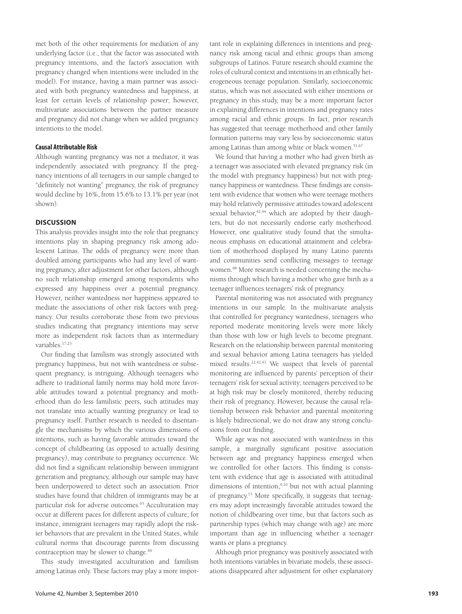met both of the other requirements for mediation of any underlying factor (i.e., that the factor was associated with pregnancy intentions, and the factor's association with pregnancy changed when intentions were included in the model). For instance, having a main partner was associated with both pregnancy wantedness and happiness, at least for certain levels of relationship power; however, multivariate associations between the partner measure and pregnancy did not change when we added pregnancy intentions to the model.

## **Causal Attributable Risk**

Although wanting pregnancy was not a mediator, it was independently associated with pregnancy. If the pregnancy intentions of all teenagers in our sample changed to "definitely not wanting" pregnancy, the risk of pregnancy would decline by 16%, from 15.6% to 13.1% per year (not shown).

# **DISCUSSION**

This analysis provides insight into the role that pregnancy intentions play in shaping pregnancy risk among adolescent Latinas. The odds of pregnancy were more than doubled among participants who had any level of wanting pregnancy, after adjustment for other factors, although no such relationship emerged among respondents who expressed any happiness over a potential pregnancy. However, neither wantedness nor happiness appeared to mediate the associations of other risk factors with pregnancy. Our results corroborate those from two previous studies indicating that pregnancy intentions may serve more as independent risk factors than as intermediary variables.17,23

Our finding that familism was strongly associated with pregnancy happiness, but not with wantedness or subsequent pregnancy, is intriguing. Although teenagers who adhere to traditional family norms may hold more favorable attitudes toward a potential pregnancy and motherhood than do less familistic peers, such attitudes may not translate into actually wanting pregnancy or lead to pregnancy itself. Further research is needed to disentangle the mechanisms by which the various dimensions of intentions, such as having favorable attitudes toward the concept of childbearing (as opposed to actually desiring pregnancy), may contribute to pregnancy occurrence. We did not find a significant relationship between immigrant generation and pregnancy, although our sample may have been underpowered to detect such an association. Prior studies have found that children of immigrants may be at particular risk for adverse outcomes.<sup>65</sup> Acculturation may occur at different paces for different aspects of culture; for instance, immigrant teenagers may rapidly adopt the riskier behaviors that are prevalent in the United States, while cultural norms that discourage parents from discussing contraception may be slower to change.<sup>66</sup>

This study investigated acculturation and familism among Latinas only. These factors may play a more important role in explaining differences in intentions and pregnancy risk among racial and ethnic groups than among subgroups of Latinos. Future research should examine the roles of cultural context and intentions in an ethnically heterogeneous teenage population. Similarly, socioeconomic status, which was not associated with either intentions or pregnancy in this study, may be a more important factor in explaining differences in intentions and pregnancy rates among racial and ethnic groups. In fact, prior research has suggested that teenage motherhood and other family formation patterns may vary less by socioeconomic status among Latinas than among white or black women.<sup>51,67</sup>

We found that having a mother who had given birth as a teenager was associated with elevated pregnancy risk (in the model with pregnancy happiness) but not with pregnancy happiness or wantedness. These findings are consistent with evidence that women who were teenage mothers may hold relatively permissive attitudes toward adolescent sexual behavior,<sup>42,44</sup> which are adopted by their daughters, but do not necessarily endorse early motherhood. However, one qualitative study found that the simultaneous emphasis on educational attainment and celebration of motherhood displayed by many Latino parents and communities send conflicting messages to teenage women.68 More research is needed concerning the mechanisms through which having a mother who gave birth as a teenager influences teenagers' risk of pregnancy.

Parental monitoring was not associated with pregnancy intentions in our sample. In the multivariate analysis that controlled for pregnancy wantedness, teenagers who reported moderate monitoring levels were more likely than those with low or high levels to become pregnant. Research on the relationship between parental monitoring and sexual behavior among Latina teenagers has yielded mixed results.22,42,43 We suspect that levels of parental monitoring are influenced by parents' perception of their teenagers' risk for sexual activity; teenagers perceived to be at high risk may be closely monitored, thereby reducing their risk of pregnancy. However, because the causal relationship between risk behavior and parental monitoring is likely bidirectional, we do not draw any strong conclusions from our finding.

While age was not associated with wantedness in this sample, a marginally significant positive association between age and pregnancy happiness emerged when we controlled for other factors. This finding is consistent with evidence that age is associated with attitudinal dimensions of intention,<sup>9,10</sup> but not with actual planning of pregnancy.<sup>13</sup> More specifically, it suggests that teenagers may adopt increasingly favorable attitudes toward the notion of childbearing over time, but that factors such as partnership types (which may change with age) are more important than age in influencing whether a teenager wants or plans a pregnancy.

Although prior pregnancy was positively associated with both intentions variables in bivariate models, these associations disappeared after adjustment for other explanatory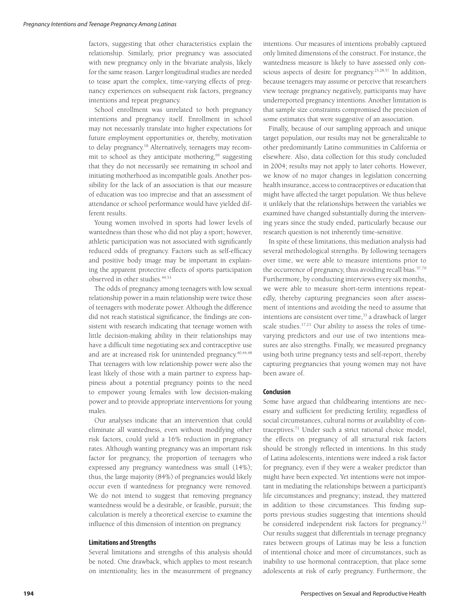factors, suggesting that other characteristics explain the relationship. Similarly, prior pregnancy was associated with new pregnancy only in the bivariate analysis, likely for the same reason. Larger longitudinal studies are needed to tease apart the complex, time-varying effects of pregnancy experiences on subsequent risk factors, pregnancy intentions and repeat pregnancy.

School enrollment was unrelated to both pregnancy intentions and pregnancy itself. Enrollment in school may not necessarily translate into higher expectations for future employment opportunities or, thereby, motivation to delay pregnancy.18 Alternatively, teenagers may recommit to school as they anticipate mothering,<sup>69</sup> suggesting that they do not necessarily see remaining in school and initiating motherhood as incompatible goals. Another possibility for the lack of an association is that our measure of education was too imprecise and that an assessment of attendance or school performance would have yielded different results.

Young women involved in sports had lower levels of wantedness than those who did not play a sport; however, athletic participation was not associated with significantly reduced odds of pregnancy. Factors such as self-efficacy and positive body image may be important in explaining the apparent protective effects of sports participation observed in other studies.<sup>49,53</sup>

The odds of pregnancy among teenagers with low sexual relationship power in a main relationship were twice those of teenagers with moderate power. Although the difference did not reach statistical significance, the findings are consistent with research indicating that teenage women with little decision-making ability in their relationships may have a difficult time negotiating sex and contraceptive use and are at increased risk for unintended pregnancy.40,44,48 That teenagers with low relationship power were also the least likely of those with a main partner to express happiness about a potential pregnancy points to the need to empower young females with low decision-making power and to provide appropriate interventions for young males.

Our analyses indicate that an intervention that could eliminate all wantedness, even without modifying other risk factors, could yield a 16% reduction in pregnancy rates. Although wanting pregnancy was an important risk factor for pregnancy, the proportion of teenagers who expressed any pregnancy wantedness was small (14%); thus, the large majority (84%) of pregnancies would likely occur even if wantedness for pregnancy were removed. We do not intend to suggest that removing pregnancy wantedness would be a desirable, or feasible, pursuit; the calculation is merely a theoretical exercise to examine the influence of this dimension of intention on pregnancy.

#### **Limitations and Strengths**

Several limitations and strengths of this analysis should be noted. One drawback, which applies to most research on intentionality, lies in the measurement of pregnancy intentions. Our measures of intentions probably captured only limited dimensions of the construct. For instance, the wantedness measure is likely to have assessed only conscious aspects of desire for pregnancy.25,28,57 In addition, because teenagers may assume or perceive that researchers view teenage pregnancy negatively, participants may have underreported pregnancy intentions. Another limitation is that sample size constraints compromised the precision of some estimates that were suggestive of an association.

Finally, because of our sampling approach and unique target population, our results may not be generalizable to other predominantly Latino communities in California or elsewhere. Also, data collection for this study concluded in 2004; results may not apply to later cohorts. However, we know of no major changes in legislation concerning health insurance, access to contraceptives or education that might have affected the target population. We thus believe it unlikely that the relationships between the variables we examined have changed substantially during the intervening years since the study ended, particularly because our research question is not inherently time-sensitive.

In spite of these limitations, this mediation analysis had several methodological strengths. By following teenagers over time, we were able to measure intentions prior to the occurrence of pregnancy, thus avoiding recall bias.<sup>57,70</sup> Furthermore, by conducting interviews every six months, we were able to measure short-term intentions repeatedly, thereby capturing pregnancies soon after assessment of intentions and avoiding the need to assume that intentions are consistent over time,<sup>33</sup> a drawback of larger scale studies.<sup>17,23</sup> Our ability to assess the roles of timevarying predictors and our use of two intentions measures are also strengths. Finally, we measured pregnancy using both urine pregnancy tests and self-report, thereby capturing pregnancies that young women may not have been aware of.

#### **Conclusion**

Some have argued that childbearing intentions are necessary and sufficient for predicting fertility, regardless of social circumstances, cultural norms or availability of contraceptives.71 Under such a strict rational choice model, the effects on pregnancy of all structural risk factors should be strongly reflected in intentions. In this study of Latina adolescents, intentions were indeed a risk factor for pregnancy, even if they were a weaker predictor than might have been expected. Yet intentions were not important in mediating the relationships between a participant's life circumstances and pregnancy; instead, they mattered in addition to those circumstances. This finding supports previous studies suggesting that intentions should be considered independent risk factors for pregnancy.<sup>23</sup> Our results suggest that differentials in teenage pregnancy rates between groups of Latinas may be less a function of intentional choice and more of circumstances, such as inability to use hormonal contraception, that place some adolescents at risk of early pregnancy. Furthermore, the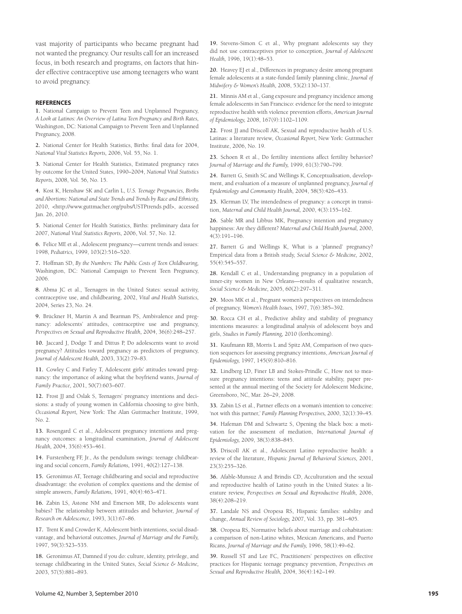vast majority of participants who became pregnant had not wanted the pregnancy. Our results call for an increased focus, in both research and programs, on factors that hinder effective contraceptive use among teenagers who want to avoid pregnancy.

#### **REFERENCES**

**1.** National Campaign to Prevent Teen and Unplanned Pregnancy, *A Look at Latinos: An Overview of Latina Teen Pregnancy and Birth Rates,* Washington, DC: National Campaign to Prevent Teen and Unplanned Pregnancy, 2008.

2. National Center for Health Statistics, Births: final data for 2004, *National Vital Statistics Reports,* 2006, Vol. 55, No. 1.

**3.** National Center for Health Statistics, Estimated pregnancy rates by outcome for the United States, 1990–2004, *National Vital Statistics Reports,* 2008, Vol. 56, No. 15.

**4.** Kost K, Henshaw SK and Carlin L, *U.S. Teenage Pregnancies, Births and Abortions: National and State Trends and Trends by Race and Ethnicity,* 2010, <http://www.guttmacher.org/pubs/USTPtrends.pdf>, accessed Jan. 26, 2010.

**5.** National Center for Health Statistics, Births: preliminary data for 2007, *National Vital Statistics Reports,* 2006, Vol. 57, No. 12.

**6.** Felice ME et al., Adolescent pregnancy—current trends and issues: 1998, *Pediatrics,* 1999, 103(2):516–520.

**7.** Hoffman SD, *By the Numbers: The Public Costs of Teen Childbearing,* Washington, DC: National Campaign to Prevent Teen Pregnancy, 2006.

**8.** Abma JC et al., Teenagers in the United States: sexual activity, contraceptive use, and childbearing, 2002, *Vital and Health Statistics,* 2004, Series 23, No. 24.

**9.** Brückner H, Martin A and Bearman PS, Ambivalence and pregnancy: adolescents' attitudes, contraceptive use and pregnancy, *Perspectives on Sexual and Reproductive Health,* 2004, 36(6):248–257.

**10.** Jaccard J, Dodge T and Dittus P, Do adolescents want to avoid pregnancy? Attitudes toward pregnancy as predictors of pregnancy, *Journal of Adolescent Health,* 2003, 33(2):79–83.

**11.** Cowley C and Farley T, Adolescent girls' attitudes toward pregnancy: the importance of asking what the boyfriend wants, *Journal of Family Practice,* 2001, 50(7):603–607.

**12.** Frost JJ and Oslak S, Teenagers' pregnancy intentions and decisions: a study of young women in California choosing to give birth, *Occa sional Report,* New York: The Alan Guttmacher Institute, 1999,  $No. 2$ 

**13.** Rosengard C et al., Adolescent pregnancy intentions and pregnancy outcomes: a longitudinal examination, *Journal of Adolescent Health,* 2004, 35(6):453–461.

**14.** Furstenberg FF, Jr., As the pendulum swings: teenage childbearing and social concern, *Family Relations,* 1991, 40(2):127–138.

**15.** Geronimus AT, Teenage childbearing and social and reproductive disadvantage: the evolution of complex questions and the demise of simple answers, *Family Relations,* 1991, 40(4):463–471.

**16.** Zabin LS, Astone NM and Emerson MR, Do adolescents want babies? The relationship between attitudes and behavior, *Journal of Research on Adolescence,* 1993, 3(1):67–86.

**17.** Trent K and Crowder K, Adolescent birth intentions, social disadvantage, and behavioral outcomes, *Journal of Marriage and the Family,* 1997, 59(3):523–535.

**18.** Geronimus AT, Damned if you do: culture, identity, privilege, and teenage childbearing in the United States, *Social Science & Medicine,* 2003, 57(5):881–893.

**19.** Stevens-Simon C et al., Why pregnant adolescents say they did not use contraceptives prior to conception, *Journal of Adolescent Health,* 1996, 19(1):48–53.

**20.** Heavey EJ et al., Differences in pregnancy desire among pregnant female adolescents at a state-funded family planning clinic, *Journal of Midwifery & Women's Health,* 2008, 53(2):130–137.

**21.** Minnis AM et al., Gang exposure and pregnancy incidence among female adolescents in San Francisco: evidence for the need to integrate reproductive health with violence prevention efforts, *American Journal of Epidemiology,* 2008, 167(9):1102–1109.

**22.** Frost JJ and Driscoll AK, Sexual and reproductive health of U.S. Latinas: a literature review*, Occasional Report,* New York: Guttmacher Institute, 2006, No. 19.

**23.** Schoen R et al., Do fertility intentions affect fertility behavior? *Journal of Marriage and the Family,* 1999, 61(3):790–799.

**24.** Barrett G, Smith SC and Wellings K, Conceptualisation, development, and evaluation of a measure of unplanned pregnancy, *Journal of Epidemiology and Community Health,* 2004, 58(5):426–433.

**25.** Klerman LV, The intendedness of pregnancy: a concept in transition, *Maternal and Child Health Journal,* 2000, 4(3):155–162.

**26.** Sable MR and Libbus MK, Pregnancy intention and pregnancy happiness: Are they different? *Maternal and Child Health Journal,* 2000, 4(3):191–196.

**27.** Barrett G and Wellings K, What is a 'planned' pregnancy? Empirical data from a British study, *Social Science & Medicine,* 2002, 55(4):545–557.

**28.** Kendall C et al., Understanding pregnancy in a population of inner-city women in New Orleans—results of qualitative research, *Social Science & Medicine,* 2005, 60(2):297–311.

**29.** Moos MK et al., Pregnant women's perspectives on intendedness of pregnancy, *Women's Health Issues,* 1997, 7(6):385–392.

**30.** Rocca CH et al., Predictive ability and stability of pregnancy intentions measures: a longitudinal analysis of adolescent boys and girls, *Studies in Family Planning,* 2010 (forthcoming).

**31.** Kaufmann RB, Morris L and Spitz AM, Comparison of two question sequences for assessing pregnancy intentions, *American Journal of Epidemiology,* 1997, 145(9):810–816.

**32.** Lindberg LD, Finer LB and Stokes-Prindle C, How not to measure pregnancy intentions: teens and attitude stability, paper presented at the annual meeting of the Society for Adolescent Medicine, Greensboro, NC, Mar. 26–29, 2008.

**33.** Zabin LS et al., Partner effects on a woman's intention to conceive: 'not with this partner,' *Family Planning Perspectives,* 2000, 32(1):39–45.

**34.** Hafeman DM and Schwartz S, Opening the black box: a motivation for the assessment of mediation, *International Journal of Epidemiology,* 2009, 38(3):838–845.

**35.** Driscoll AK et al., Adolescent Latino reproductive health: a review of the literature, *Hispanic Journal of Behavioral Sciences,* 2001, 23(3):255–326.

**36.** Afable-Munsuz A and Brindis CD, Acculturation and the sexual and reproductive health of Latino youth in the United States: a literature review, *Perspectives on Sexual and Reproductive Health,* 2006, 38(4):208–219.

**37.** Landale NS and Oropesa RS, Hispanic families: stability and change, *Annual Review of Sociology,* 2007, Vol. 33, pp. 381–405.

**38.** Oropesa RS, Normative beliefs about marriage and cohabitation: a comparison of non-Latino whites, Mexican Americans, and Puerto Ricans, *Journal of Marriage and the Family,* 1996, 58(1):49–62.

**39.** Russell ST and Lee FC, Practitioners' perspectives on effective practices for Hispanic teenage pregnancy prevention, *Perspectives on Sexual and Reproductive Health,* 2004, 36(4):142–149.